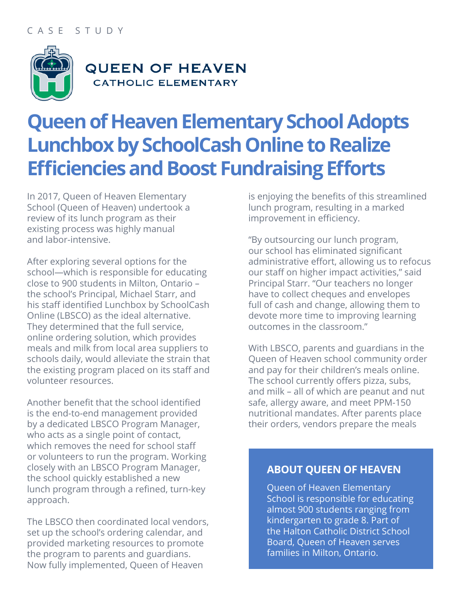#### CASE STUDY



### **QUEEN OF HEAVEN CATHOLIC ELEMENTARY**

# **Queen of Heaven Elementary School Adopts Lunchbox by SchoolCash Online to Realize Efficiencies and Boost Fundraising Efforts**

In 2017, Queen of Heaven Elementary School (Queen of Heaven) undertook a review of its lunch program as their existing process was highly manual and labor-intensive.

After exploring several options for the school—which is responsible for educating close to 900 students in Milton, Ontario – the school's Principal, Michael Starr, and his staff identified Lunchbox by SchoolCash Online (LBSCO) as the ideal alternative. They determined that the full service, online ordering solution, which provides meals and milk from local area suppliers to schools daily, would alleviate the strain that the existing program placed on its staff and volunteer resources.

Another benefit that the school identified is the end-to-end management provided by a dedicated LBSCO Program Manager, who acts as a single point of contact, which removes the need for school staff or volunteers to run the program. Working closely with an LBSCO Program Manager, the school quickly established a new lunch program through a refined, turn-key approach.

The LBSCO then coordinated local vendors, set up the school's ordering calendar, and provided marketing resources to promote the program to parents and guardians. Now fully implemented, Queen of Heaven

is enjoying the benefits of this streamlined lunch program, resulting in a marked improvement in efficiency.

"By outsourcing our lunch program, our school has eliminated significant administrative effort, allowing us to refocus our staff on higher impact activities," said Principal Starr. "Our teachers no longer have to collect cheques and envelopes full of cash and change, allowing them to devote more time to improving learning outcomes in the classroom."

With LBSCO, parents and guardians in the Queen of Heaven school community order and pay for their children's meals online. The school currently offers pizza, subs, and milk – all of which are peanut and nut safe, allergy aware, and meet PPM-150 nutritional mandates. After parents place their orders, vendors prepare the meals

#### **ABOUT QUEEN OF HEAVEN**

Queen of Heaven Elementary School is responsible for educating almost 900 students ranging from kindergarten to grade 8. Part of the Halton Catholic District School Board, Queen of Heaven serves families in Milton, Ontario.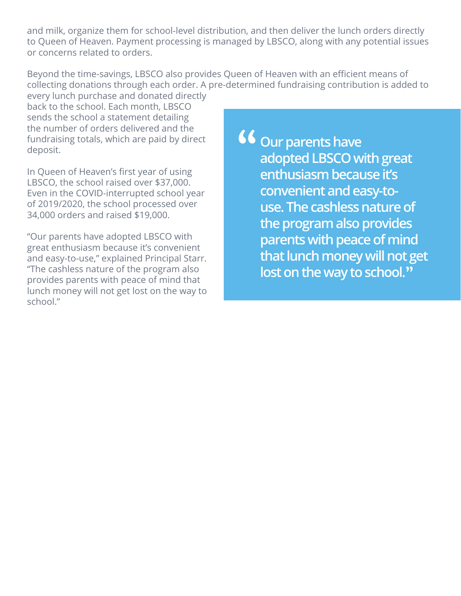and milk, organize them for school-level distribution, and then deliver the lunch orders directly to Queen of Heaven. Payment processing is managed by LBSCO, along with any potential issues or concerns related to orders.

Beyond the time-savings, LBSCO also provides Queen of Heaven with an efficient means of collecting donations through each order. A pre-determined fundraising contribution is added to every lunch purchase and donated directly

back to the school. Each month, LBSCO sends the school a statement detailing the number of orders delivered and the fundraising totals, which are paid by direct deposit.

In Queen of Heaven's first year of using LBSCO, the school raised over \$37,000. Even in the COVID-interrupted school year of 2019/2020, the school processed over 34,000 orders and raised \$19,000.

"Our parents have adopted LBSCO with great enthusiasm because it's convenient and easy-to-use," explained Principal Starr. "The cashless nature of the program also provides parents with peace of mind that lunch money will not get lost on the way to school."

**66** Our parents have **adopted LBSCO with great enthusiasm because it's convenient and easy-touse. The cashless nature of the program also provides parents with peace of mind that lunch money will not get**  lost on the way to school."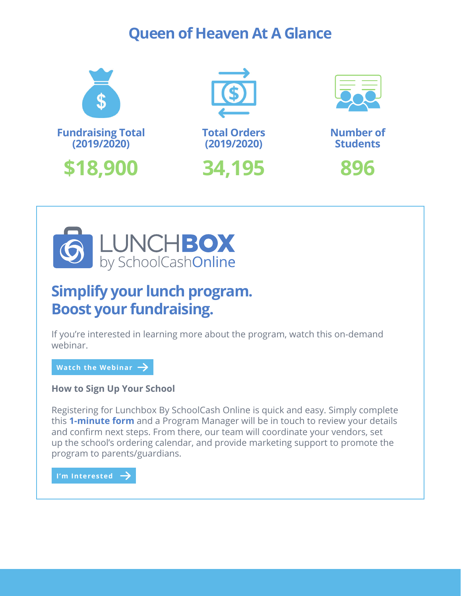### **Queen of Heaven At A Glance**





## **Simplify your lunch program. Boost your fundraising.**

If you're interested in learning more about the program, watch this on-demand webinar.

[Watch the Webinar](https://share.vidyard.com/watch/fj3cc9k3YQN6yfTBP8x14K?)  **Watch the Webinar**

**How to Sign Up Your School**

Registering for Lunchbox By SchoolCash Online is quick and easy. Simply complete this **[1-minute form](https://www2.kevgroup.com/l/828223/2022-01-11/89yft)** and a Program Manager will be in touch to review your details and confirm next steps. From there, our team will coordinate your vendors, set up the school's ordering calendar, and provide marketing support to promote the program to parents/guardians.